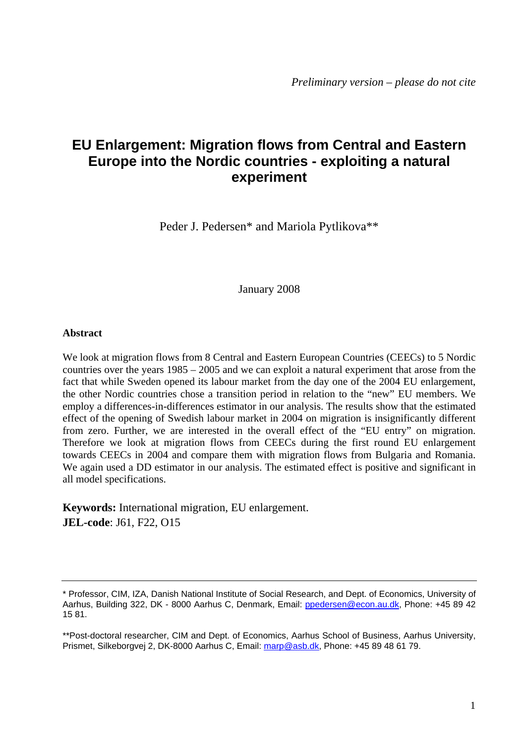# **EU Enlargement: Migration flows from Central and Eastern Europe into the Nordic countries - exploiting a natural experiment**

Peder J. Pedersen\* and Mariola Pytlikova\*\*

January 2008

# **Abstract**

We look at migration flows from 8 Central and Eastern European Countries (CEECs) to 5 Nordic countries over the years 1985 – 2005 and we can exploit a natural experiment that arose from the fact that while Sweden opened its labour market from the day one of the 2004 EU enlargement, the other Nordic countries chose a transition period in relation to the "new" EU members. We employ a differences-in-differences estimator in our analysis. The results show that the estimated effect of the opening of Swedish labour market in 2004 on migration is insignificantly different from zero. Further, we are interested in the overall effect of the "EU entry" on migration. Therefore we look at migration flows from CEECs during the first round EU enlargement towards CEECs in 2004 and compare them with migration flows from Bulgaria and Romania. We again used a DD estimator in our analysis. The estimated effect is positive and significant in all model specifications.

**Keywords:** International migration, EU enlargement. **JEL-code**: J61, F22, O15

<sup>\*</sup> Professor, CIM, IZA, Danish National Institute of Social Research, and Dept. of Economics, University of Aarhus, Building 322, DK - 8000 Aarhus C, Denmark, Email: ppedersen@econ.au.dk, Phone: +45 89 42 15 81.

<sup>\*\*</sup>Post-doctoral researcher, CIM and Dept. of Economics, Aarhus School of Business, Aarhus University, Prismet, Silkeborgvej 2, DK-8000 Aarhus C, Email: marp@asb.dk, Phone: +45 89 48 61 79.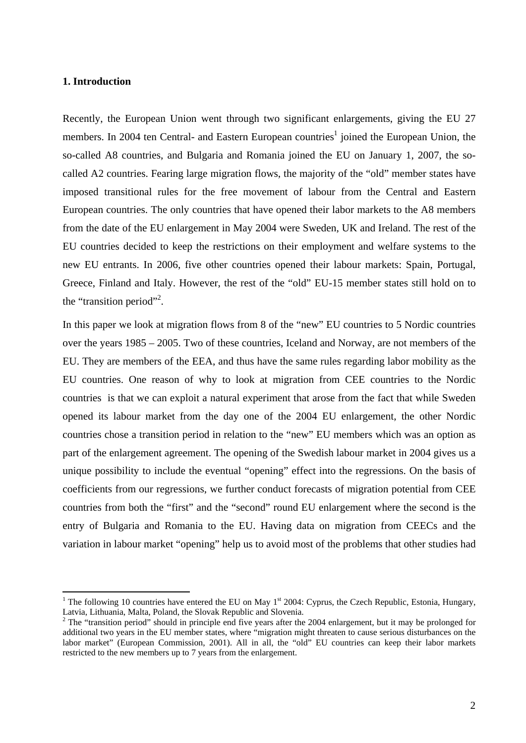## **1. Introduction**

<u>.</u>

Recently, the European Union went through two significant enlargements, giving the EU 27 members. In 2004 ten Central- and Eastern European countries<sup>1</sup> joined the European Union, the so-called A8 countries, and Bulgaria and Romania joined the EU on January 1, 2007, the socalled A2 countries. Fearing large migration flows, the majority of the "old" member states have imposed transitional rules for the free movement of labour from the Central and Eastern European countries. The only countries that have opened their labor markets to the A8 members from the date of the EU enlargement in May 2004 were Sweden, UK and Ireland. The rest of the EU countries decided to keep the restrictions on their employment and welfare systems to the new EU entrants. In 2006, five other countries opened their labour markets: Spain, Portugal, Greece, Finland and Italy. However, the rest of the "old" EU-15 member states still hold on to the "transition period"<sup>2</sup>.

In this paper we look at migration flows from 8 of the "new" EU countries to 5 Nordic countries over the years 1985 – 2005. Two of these countries, Iceland and Norway, are not members of the EU. They are members of the EEA, and thus have the same rules regarding labor mobility as the EU countries. One reason of why to look at migration from CEE countries to the Nordic countries is that we can exploit a natural experiment that arose from the fact that while Sweden opened its labour market from the day one of the 2004 EU enlargement, the other Nordic countries chose a transition period in relation to the "new" EU members which was an option as part of the enlargement agreement. The opening of the Swedish labour market in 2004 gives us a unique possibility to include the eventual "opening" effect into the regressions. On the basis of coefficients from our regressions, we further conduct forecasts of migration potential from CEE countries from both the "first" and the "second" round EU enlargement where the second is the entry of Bulgaria and Romania to the EU. Having data on migration from CEECs and the variation in labour market "opening" help us to avoid most of the problems that other studies had

<sup>&</sup>lt;sup>1</sup> The following 10 countries have entered the EU on May  $1<sup>st</sup>$  2004: Cyprus, the Czech Republic, Estonia, Hungary, Latvia, Lithuania, Malta, Poland, the Slovak Republic and Slovenia.

 $2$  The "transition period" should in principle end five years after the 2004 enlargement, but it may be prolonged for additional two years in the EU member states, where "migration might threaten to cause serious disturbances on the labor market" (European Commission, 2001). All in all, the "old" EU countries can keep their labor markets restricted to the new members up to 7 years from the enlargement.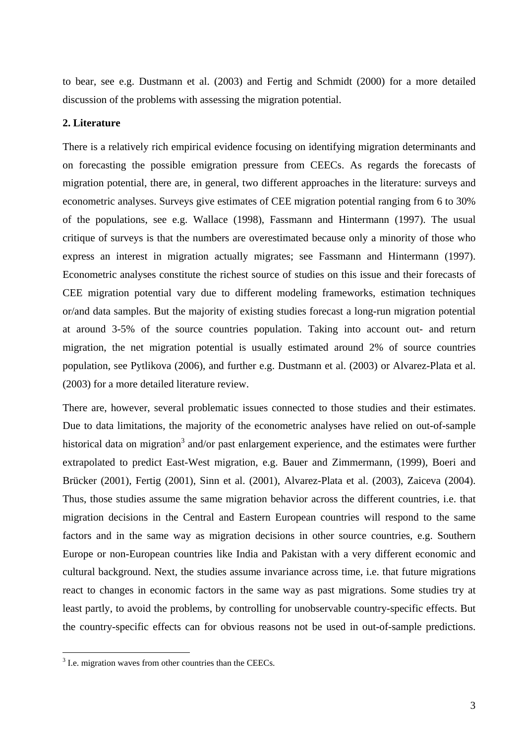to bear, see e.g. Dustmann et al. (2003) and Fertig and Schmidt (2000) for a more detailed discussion of the problems with assessing the migration potential.

## **2. Literature**

There is a relatively rich empirical evidence focusing on identifying migration determinants and on forecasting the possible emigration pressure from CEECs. As regards the forecasts of migration potential, there are, in general, two different approaches in the literature: surveys and econometric analyses. Surveys give estimates of CEE migration potential ranging from 6 to 30% of the populations, see e.g. Wallace (1998), Fassmann and Hintermann (1997). The usual critique of surveys is that the numbers are overestimated because only a minority of those who express an interest in migration actually migrates; see Fassmann and Hintermann (1997). Econometric analyses constitute the richest source of studies on this issue and their forecasts of CEE migration potential vary due to different modeling frameworks, estimation techniques or/and data samples. But the majority of existing studies forecast a long-run migration potential at around 3-5% of the source countries population. Taking into account out- and return migration, the net migration potential is usually estimated around 2% of source countries population, see Pytlikova (2006), and further e.g. Dustmann et al. (2003) or Alvarez-Plata et al. (2003) for a more detailed literature review.

There are, however, several problematic issues connected to those studies and their estimates. Due to data limitations, the majority of the econometric analyses have relied on out-of-sample historical data on migration<sup>3</sup> and/or past enlargement experience, and the estimates were further extrapolated to predict East-West migration, e.g. Bauer and Zimmermann, (1999), Boeri and Brücker (2001), Fertig (2001), Sinn et al. (2001), Alvarez-Plata et al. (2003), Zaiceva (2004). Thus, those studies assume the same migration behavior across the different countries, i.e. that migration decisions in the Central and Eastern European countries will respond to the same factors and in the same way as migration decisions in other source countries, e.g. Southern Europe or non-European countries like India and Pakistan with a very different economic and cultural background. Next, the studies assume invariance across time, i.e. that future migrations react to changes in economic factors in the same way as past migrations. Some studies try at least partly, to avoid the problems, by controlling for unobservable country-specific effects. But the country-specific effects can for obvious reasons not be used in out-of-sample predictions.

<u>.</u>

 $3$  I.e. migration waves from other countries than the CEECs.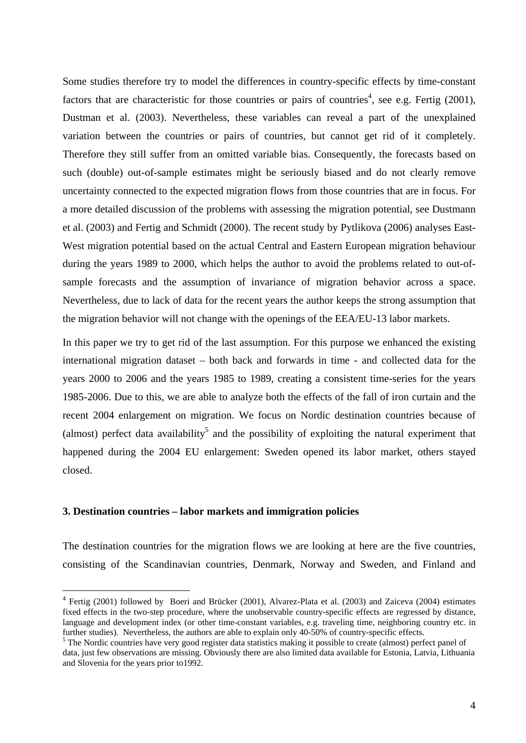Some studies therefore try to model the differences in country-specific effects by time-constant factors that are characteristic for those countries or pairs of countries<sup>4</sup>, see e.g. Fertig (2001), Dustman et al. (2003). Nevertheless, these variables can reveal a part of the unexplained variation between the countries or pairs of countries, but cannot get rid of it completely. Therefore they still suffer from an omitted variable bias. Consequently, the forecasts based on such (double) out-of-sample estimates might be seriously biased and do not clearly remove uncertainty connected to the expected migration flows from those countries that are in focus. For a more detailed discussion of the problems with assessing the migration potential, see Dustmann et al. (2003) and Fertig and Schmidt (2000). The recent study by Pytlikova (2006) analyses East-West migration potential based on the actual Central and Eastern European migration behaviour during the years 1989 to 2000, which helps the author to avoid the problems related to out-ofsample forecasts and the assumption of invariance of migration behavior across a space. Nevertheless, due to lack of data for the recent years the author keeps the strong assumption that the migration behavior will not change with the openings of the EEA/EU-13 labor markets.

In this paper we try to get rid of the last assumption. For this purpose we enhanced the existing international migration dataset – both back and forwards in time - and collected data for the years 2000 to 2006 and the years 1985 to 1989, creating a consistent time-series for the years 1985-2006. Due to this, we are able to analyze both the effects of the fall of iron curtain and the recent 2004 enlargement on migration. We focus on Nordic destination countries because of (almost) perfect data availability<sup>5</sup> and the possibility of exploiting the natural experiment that happened during the 2004 EU enlargement: Sweden opened its labor market, others stayed closed.

# **3. Destination countries – labor markets and immigration policies**

1

The destination countries for the migration flows we are looking at here are the five countries, consisting of the Scandinavian countries, Denmark, Norway and Sweden, and Finland and

<sup>4</sup> Fertig (2001) followed by Boeri and Brücker (2001), Alvarez-Plata et al. (2003) and Zaiceva (2004) estimates fixed effects in the two-step procedure, where the unobservable country-specific effects are regressed by distance, language and development index (or other time-constant variables, e.g. traveling time, neighboring country etc. in further studies). Nevertheless, the authors are able to explain only 40-50% of country-specific effects.

<sup>&</sup>lt;sup>5</sup> The Nordic countries have very good register data statistics making it possible to create (almost) perfect panel of data, just few observations are missing. Obviously there are also limited data available for Estonia, Latvia, Lithuania and Slovenia for the years prior to1992.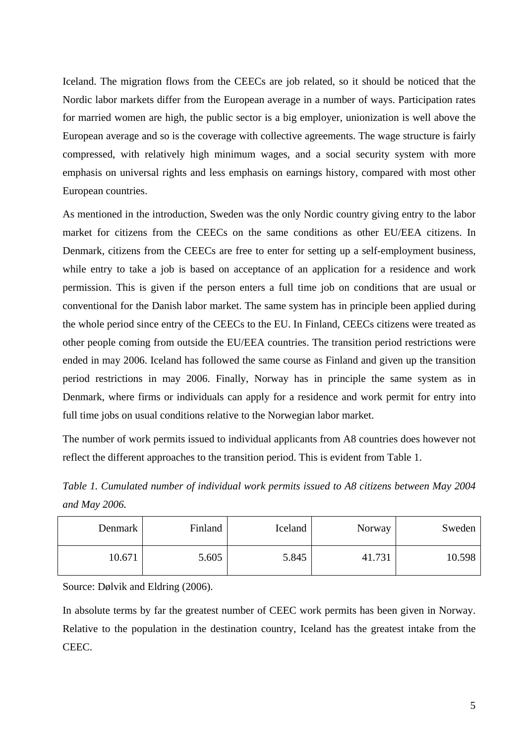Iceland. The migration flows from the CEECs are job related, so it should be noticed that the Nordic labor markets differ from the European average in a number of ways. Participation rates for married women are high, the public sector is a big employer, unionization is well above the European average and so is the coverage with collective agreements. The wage structure is fairly compressed, with relatively high minimum wages, and a social security system with more emphasis on universal rights and less emphasis on earnings history, compared with most other European countries.

As mentioned in the introduction, Sweden was the only Nordic country giving entry to the labor market for citizens from the CEECs on the same conditions as other EU/EEA citizens. In Denmark, citizens from the CEECs are free to enter for setting up a self-employment business, while entry to take a job is based on acceptance of an application for a residence and work permission. This is given if the person enters a full time job on conditions that are usual or conventional for the Danish labor market. The same system has in principle been applied during the whole period since entry of the CEECs to the EU. In Finland, CEECs citizens were treated as other people coming from outside the EU/EEA countries. The transition period restrictions were ended in may 2006. Iceland has followed the same course as Finland and given up the transition period restrictions in may 2006. Finally, Norway has in principle the same system as in Denmark, where firms or individuals can apply for a residence and work permit for entry into full time jobs on usual conditions relative to the Norwegian labor market.

The number of work permits issued to individual applicants from A8 countries does however not reflect the different approaches to the transition period. This is evident from Table 1.

*Table 1. Cumulated number of individual work permits issued to A8 citizens between May 2004 and May 2006.* 

| Denmark | Finland | Iceland | Norway | Sweden |
|---------|---------|---------|--------|--------|
| 10.671  | 5.605   | 5.845   | 41.731 | 10.598 |

Source: Dølvik and Eldring (2006).

In absolute terms by far the greatest number of CEEC work permits has been given in Norway. Relative to the population in the destination country, Iceland has the greatest intake from the CEEC.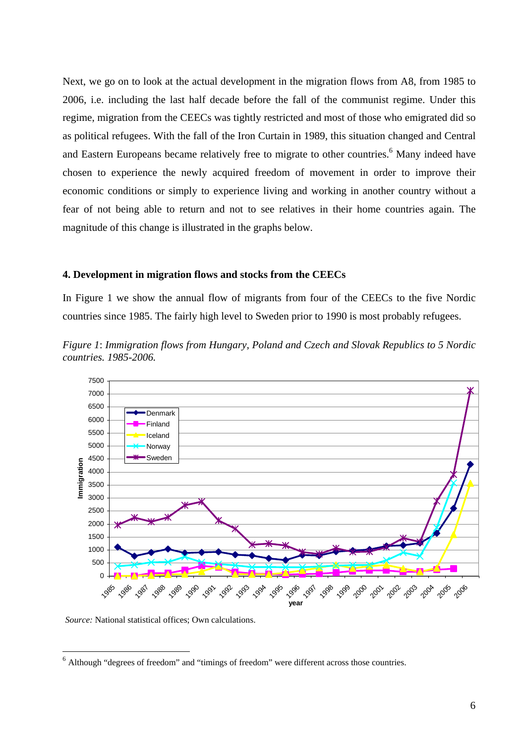Next, we go on to look at the actual development in the migration flows from A8, from 1985 to 2006, i.e. including the last half decade before the fall of the communist regime. Under this regime, migration from the CEECs was tightly restricted and most of those who emigrated did so as political refugees. With the fall of the Iron Curtain in 1989, this situation changed and Central and Eastern Europeans became relatively free to migrate to other countries.<sup>6</sup> Many indeed have chosen to experience the newly acquired freedom of movement in order to improve their economic conditions or simply to experience living and working in another country without a fear of not being able to return and not to see relatives in their home countries again. The magnitude of this change is illustrated in the graphs below.

#### **4. Development in migration flows and stocks from the CEECs**

In Figure 1 we show the annual flow of migrants from four of the CEECs to the five Nordic countries since 1985. The fairly high level to Sweden prior to 1990 is most probably refugees.



*Figure 1*: *Immigration flows from Hungary, Poland and Czech and Slovak Republics to 5 Nordic countries. 1985-2006.* 

*Source:* National statistical offices; Own calculations.

Although "degrees of freedom" and "timings of freedom" were different across those countries.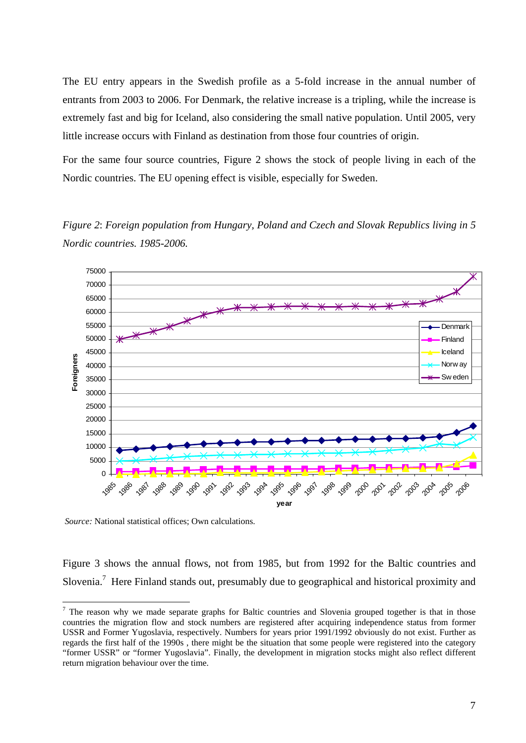The EU entry appears in the Swedish profile as a 5-fold increase in the annual number of entrants from 2003 to 2006. For Denmark, the relative increase is a tripling, while the increase is extremely fast and big for Iceland, also considering the small native population. Until 2005, very little increase occurs with Finland as destination from those four countries of origin.

For the same four source countries, Figure 2 shows the stock of people living in each of the Nordic countries. The EU opening effect is visible, especially for Sweden.

*Figure 2*: *Foreign population from Hungary, Poland and Czech and Slovak Republics living in 5 Nordic countries. 1985-2006.* 



 *Source:* National statistical offices; Own calculations.

Figure 3 shows the annual flows, not from 1985, but from 1992 for the Baltic countries and Slovenia.<sup>7</sup> Here Finland stands out, presumably due to geographical and historical proximity and

 $<sup>7</sup>$  The reason why we made separate graphs for Baltic countries and Slovenia grouped together is that in those</sup> countries the migration flow and stock numbers are registered after acquiring independence status from former USSR and Former Yugoslavia, respectively. Numbers for years prior 1991/1992 obviously do not exist. Further as regards the first half of the 1990s , there might be the situation that some people were registered into the category "former USSR" or "former Yugoslavia". Finally, the development in migration stocks might also reflect different return migration behaviour over the time.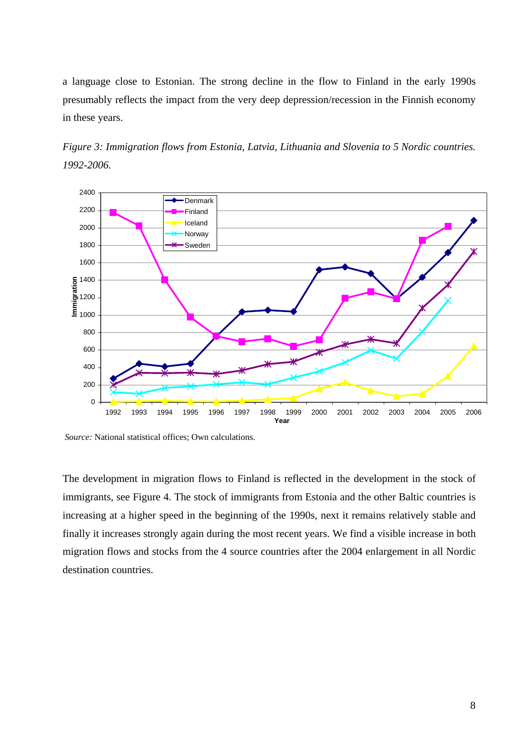a language close to Estonian. The strong decline in the flow to Finland in the early 1990s presumably reflects the impact from the very deep depression/recession in the Finnish economy in these years.





 *Source:* National statistical offices; Own calculations.

The development in migration flows to Finland is reflected in the development in the stock of immigrants, see Figure 4. The stock of immigrants from Estonia and the other Baltic countries is increasing at a higher speed in the beginning of the 1990s, next it remains relatively stable and finally it increases strongly again during the most recent years. We find a visible increase in both migration flows and stocks from the 4 source countries after the 2004 enlargement in all Nordic destination countries.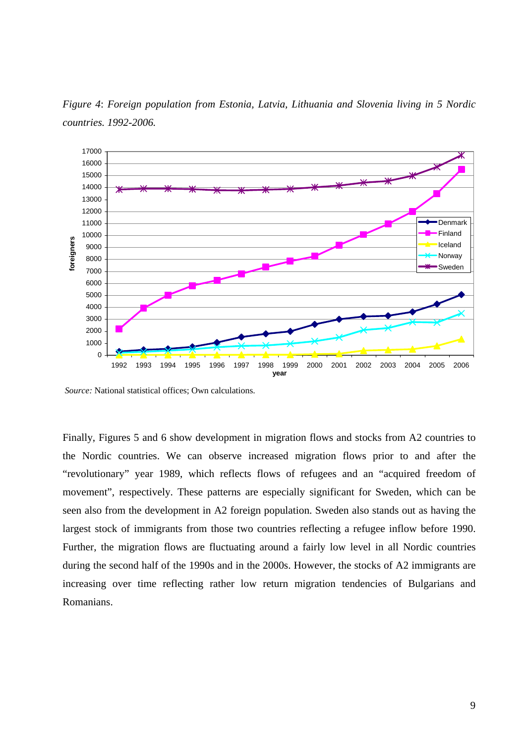

*Figure 4*: *Foreign population from Estonia, Latvia, Lithuania and Slovenia living in 5 Nordic countries. 1992-2006.* 

 *Source:* National statistical offices; Own calculations.

Finally, Figures 5 and 6 show development in migration flows and stocks from A2 countries to the Nordic countries. We can observe increased migration flows prior to and after the "revolutionary" year 1989, which reflects flows of refugees and an "acquired freedom of movement", respectively. These patterns are especially significant for Sweden, which can be seen also from the development in A2 foreign population. Sweden also stands out as having the largest stock of immigrants from those two countries reflecting a refugee inflow before 1990. Further, the migration flows are fluctuating around a fairly low level in all Nordic countries during the second half of the 1990s and in the 2000s. However, the stocks of A2 immigrants are increasing over time reflecting rather low return migration tendencies of Bulgarians and Romanians.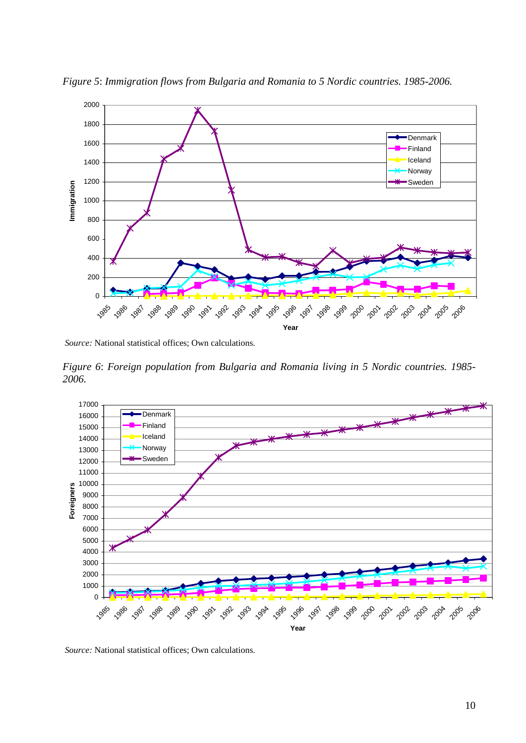

*Figure 5*: *Immigration flows from Bulgaria and Romania to 5 Nordic countries. 1985-2006.* 

 *Source:* National statistical offices; Own calculations.

*Figure 6*: *Foreign population from Bulgaria and Romania living in 5 Nordic countries. 1985- 2006.* 



 *Source:* National statistical offices; Own calculations.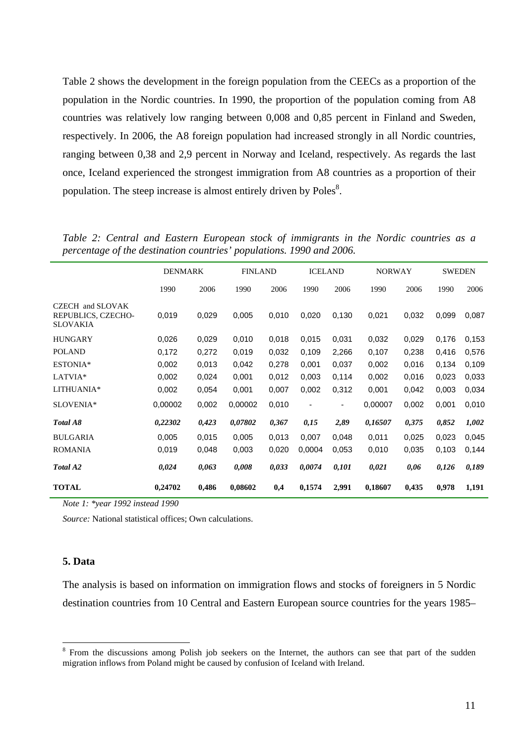Table 2 shows the development in the foreign population from the CEECs as a proportion of the population in the Nordic countries. In 1990, the proportion of the population coming from A8 countries was relatively low ranging between 0,008 and 0,85 percent in Finland and Sweden, respectively. In 2006, the A8 foreign population had increased strongly in all Nordic countries, ranging between 0,38 and 2,9 percent in Norway and Iceland, respectively. As regards the last once, Iceland experienced the strongest immigration from A8 countries as a proportion of their population. The steep increase is almost entirely driven by  $Poles<sup>8</sup>$ .

|                                                           | <b>DENMARK</b> |       | <b>FINLAND</b> |       | <b>ICELAND</b>           |       | <b>NORWAY</b> |       | <b>SWEDEN</b> |       |
|-----------------------------------------------------------|----------------|-------|----------------|-------|--------------------------|-------|---------------|-------|---------------|-------|
|                                                           | 1990           | 2006  | 1990           | 2006  | 1990                     | 2006  | 1990          | 2006  | 1990          | 2006  |
| CZECH and SLOVAK<br>REPUBLICS, CZECHO-<br><b>SLOVAKIA</b> | 0,019          | 0,029 | 0,005          | 0,010 | 0,020                    | 0,130 | 0,021         | 0,032 | 0,099         | 0,087 |
| <b>HUNGARY</b>                                            | 0,026          | 0,029 | 0,010          | 0,018 | 0,015                    | 0,031 | 0,032         | 0,029 | 0,176         | 0,153 |
| <b>POLAND</b>                                             | 0,172          | 0,272 | 0,019          | 0,032 | 0,109                    | 2,266 | 0,107         | 0,238 | 0,416         | 0,576 |
| ESTONIA*                                                  | 0,002          | 0,013 | 0,042          | 0,278 | 0,001                    | 0,037 | 0,002         | 0,016 | 0,134         | 0,109 |
| LATVIA*                                                   | 0,002          | 0,024 | 0,001          | 0,012 | 0,003                    | 0,114 | 0,002         | 0,016 | 0,023         | 0,033 |
| LITHUANIA*                                                | 0,002          | 0,054 | 0,001          | 0,007 | 0,002                    | 0,312 | 0,001         | 0,042 | 0,003         | 0,034 |
| SLOVENIA*                                                 | 0,00002        | 0,002 | 0,00002        | 0,010 | $\overline{\phantom{a}}$ | ۰     | 0,00007       | 0,002 | 0,001         | 0,010 |
| Total A8                                                  | 0,22302        | 0,423 | 0,07802        | 0,367 | 0,15                     | 2,89  | 0,16507       | 0,375 | 0,852         | 1,002 |
| <b>BULGARIA</b>                                           | 0,005          | 0,015 | 0,005          | 0,013 | 0,007                    | 0,048 | 0,011         | 0,025 | 0,023         | 0,045 |
| <b>ROMANIA</b>                                            | 0,019          | 0,048 | 0,003          | 0,020 | 0,0004                   | 0.053 | 0,010         | 0,035 | 0,103         | 0,144 |
| Total A2                                                  | 0,024          | 0,063 | 0,008          | 0,033 | 0,0074                   | 0,101 | 0,021         | 0,06  | 0,126         | 0,189 |
| <b>TOTAL</b>                                              | 0,24702        | 0,486 | 0,08602        | 0,4   | 0,1574                   | 2,991 | 0,18607       | 0,435 | 0,978         | 1,191 |

*Table 2: Central and Eastern European stock of immigrants in the Nordic countries as a percentage of the destination countries' populations. 1990 and 2006.* 

*Note 1: \*year 1992 instead 1990*

*Source:* National statistical offices; Own calculations.

#### **5. Data**

1

The analysis is based on information on immigration flows and stocks of foreigners in 5 Nordic destination countries from 10 Central and Eastern European source countries for the years 1985–

<sup>&</sup>lt;sup>8</sup> From the discussions among Polish job seekers on the Internet, the authors can see that part of the sudden migration inflows from Poland might be caused by confusion of Iceland with Ireland.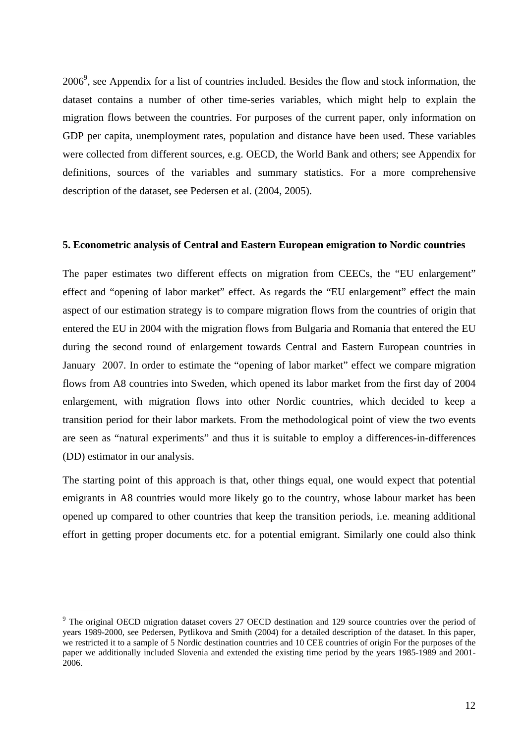2006<sup>9</sup>, see Appendix for a list of countries included. Besides the flow and stock information, the dataset contains a number of other time-series variables, which might help to explain the migration flows between the countries. For purposes of the current paper, only information on GDP per capita, unemployment rates, population and distance have been used. These variables were collected from different sources, e.g. OECD, the World Bank and others; see Appendix for definitions, sources of the variables and summary statistics. For a more comprehensive description of the dataset, see Pedersen et al. (2004, 2005).

#### **5. Econometric analysis of Central and Eastern European emigration to Nordic countries**

The paper estimates two different effects on migration from CEECs, the "EU enlargement" effect and "opening of labor market" effect. As regards the "EU enlargement" effect the main aspect of our estimation strategy is to compare migration flows from the countries of origin that entered the EU in 2004 with the migration flows from Bulgaria and Romania that entered the EU during the second round of enlargement towards Central and Eastern European countries in January 2007. In order to estimate the "opening of labor market" effect we compare migration flows from A8 countries into Sweden, which opened its labor market from the first day of 2004 enlargement, with migration flows into other Nordic countries, which decided to keep a transition period for their labor markets. From the methodological point of view the two events are seen as "natural experiments" and thus it is suitable to employ a differences-in-differences (DD) estimator in our analysis.

The starting point of this approach is that, other things equal, one would expect that potential emigrants in A8 countries would more likely go to the country, whose labour market has been opened up compared to other countries that keep the transition periods, i.e. meaning additional effort in getting proper documents etc. for a potential emigrant. Similarly one could also think

1

<sup>&</sup>lt;sup>9</sup> The original OECD migration dataset covers 27 OECD destination and 129 source countries over the period of years 1989-2000, see Pedersen, Pytlikova and Smith (2004) for a detailed description of the dataset. In this paper, we restricted it to a sample of 5 Nordic destination countries and 10 CEE countries of origin For the purposes of the paper we additionally included Slovenia and extended the existing time period by the years 1985-1989 and 2001- 2006.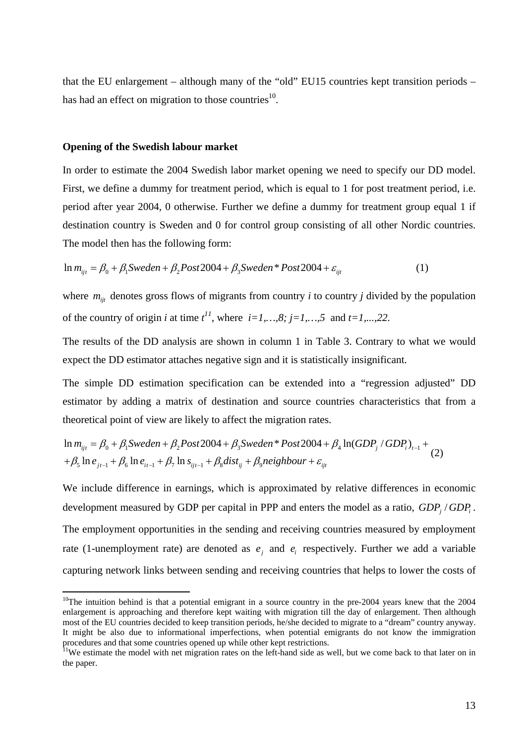that the EU enlargement – although many of the "old" EU15 countries kept transition periods – has had an effect on migration to those countries $10$ .

#### **Opening of the Swedish labour market**

<u>.</u>

In order to estimate the 2004 Swedish labor market opening we need to specify our DD model. First, we define a dummy for treatment period, which is equal to 1 for post treatment period, i.e. period after year 2004, 0 otherwise. Further we define a dummy for treatment group equal 1 if destination country is Sweden and 0 for control group consisting of all other Nordic countries. The model then has the following form:

$$
\ln m_{ijt} = \beta_0 + \beta_1 \text{Sweden} + \beta_2 \text{Post2004} + \beta_3 \text{Sweden}^* \text{Post2004} + \varepsilon_{ijt} \tag{1}
$$

where  $m_{ij}$  denotes gross flows of migrants from country *i* to country *j* divided by the population of the country of origin *i* at time  $t^{11}$ , where  $i=1,\ldots,8; j=1,\ldots,5$  and  $t=1,\ldots,22$ .

The results of the DD analysis are shown in column 1 in Table 3. Contrary to what we would expect the DD estimator attaches negative sign and it is statistically insignificant.

The simple DD estimation specification can be extended into a "regression adjusted" DD estimator by adding a matrix of destination and source countries characteristics that from a theoretical point of view are likely to affect the migration rates.

$$
\ln m_{ijt} = \beta_0 + \beta_1 \text{ Sweden} + \beta_2 \text{Post2004} + \beta_3 \text{ Sweden}^* \text{Post2004} + \beta_4 \ln(\text{GDP}_j / \text{GDP}_i)_{t-1} + \beta_5 \ln e_{jt-1} + \beta_6 \ln e_{it-1} + \beta_7 \ln s_{ijt-1} + \beta_8 \text{dist}_{ij} + \beta_9 \text{neighbor} + \varepsilon_{ijt}
$$
\n(2)

We include difference in earnings, which is approximated by relative differences in economic development measured by GDP per capital in PPP and enters the model as a ratio, *GDP*, *j GDP*<sub>*i*</sub>. The employment opportunities in the sending and receiving countries measured by employment rate (1-unemployment rate) are denoted as  $e_i$  and  $e_j$  respectively. Further we add a variable capturing network links between sending and receiving countries that helps to lower the costs of

 $10$ The intuition behind is that a potential emigrant in a source country in the pre-2004 years knew that the 2004 enlargement is approaching and therefore kept waiting with migration till the day of enlargement. Then although most of the EU countries decided to keep transition periods, he/she decided to migrate to a "dream" country anyway. It might be also due to informational imperfections, when potential emigrants do not know the immigration procedures and that some countries opened up while other kept restrictions.

<sup>&</sup>lt;sup>11</sup>We estimate the model with net migration rates on the left-hand side as well, but we come back to that later on in the paper.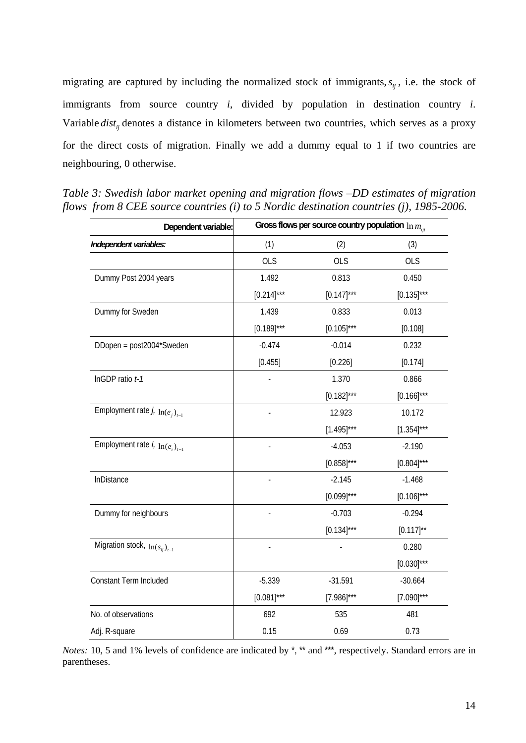migrating are captured by including the normalized stock of immigrants,  $s_{ij}$ , i.e. the stock of immigrants from source country *i*, divided by population in destination country *i*. Variable *dist<sub>ij</sub>* denotes a distance in kilometers between two countries, which serves as a proxy for the direct costs of migration. Finally we add a dummy equal to 1 if two countries are neighbouring, 0 otherwise.

| Dependent variable:                                    | Gross flows per source country population $\ln m_{\text{int}}$ |                 |                 |  |  |
|--------------------------------------------------------|----------------------------------------------------------------|-----------------|-----------------|--|--|
| Independent variables:                                 | (1)                                                            | (2)             | (3)             |  |  |
|                                                        | <b>OLS</b>                                                     | <b>OLS</b>      | <b>OLS</b>      |  |  |
| Dummy Post 2004 years                                  | 1.492                                                          | 0.813           | 0.450           |  |  |
|                                                        | $[0.214]$ ***                                                  | $[0.147]$ ***   | $[0.135]^{***}$ |  |  |
| Dummy for Sweden                                       | 1.439                                                          | 0.833           | 0.013           |  |  |
|                                                        | $[0.189]$ ***                                                  | $[0.105]^{***}$ | [0.108]         |  |  |
| DDopen = post2004*Sweden                               | $-0.474$                                                       | $-0.014$        | 0.232           |  |  |
|                                                        | [0.455]                                                        | [0.226]         | [0.174]         |  |  |
| InGDP ratio t-1                                        |                                                                | 1.370           | 0.866           |  |  |
|                                                        |                                                                | $[0.182]^{***}$ | $[0.166]^{***}$ |  |  |
| Employment rate $j_{\cdot}$ ln( $e_j$ ) <sub>t-1</sub> |                                                                | 12.923          | 10.172          |  |  |
|                                                        |                                                                | $[1.495]$ ***   | $[1.354]$ ***   |  |  |
| Employment rate $i$ , $\ln(e_i)_{i=1}$                 |                                                                | $-4.053$        | $-2.190$        |  |  |
|                                                        |                                                                | $[0.858]$ ***   | $[0.804]^{***}$ |  |  |
| InDistance                                             |                                                                | $-2.145$        | $-1.468$        |  |  |
|                                                        |                                                                | $[0.099]$ ***   | $[0.106]^{***}$ |  |  |
| Dummy for neighbours                                   |                                                                | $-0.703$        | $-0.294$        |  |  |
|                                                        |                                                                | $[0.134]$ ***   | $[0.117]^{**}$  |  |  |
| Migration stock, $\ln(s_{ij})_{i=1}$                   |                                                                |                 | 0.280           |  |  |
|                                                        |                                                                |                 | $[0.030]^{***}$ |  |  |
| Constant Term Included                                 | $-5.339$                                                       | $-31.591$       | $-30.664$       |  |  |
|                                                        | $[0.081]$ ***                                                  | $[7.986]^{***}$ | $[7.090]^{***}$ |  |  |
| No. of observations                                    | 692                                                            | 535             | 481             |  |  |
| Adj. R-square                                          | 0.15                                                           | 0.69            | 0.73            |  |  |

*Table 3: Swedish labor market opening and migration flows –DD estimates of migration flows from 8 CEE source countries (i) to 5 Nordic destination countries (j), 1985-2006.* 

*Notes:* 10, 5 and 1% levels of confidence are indicated by  $\alpha$ <sup>\*</sup>, \*\* and \*\*\*, respectively. Standard errors are in parentheses.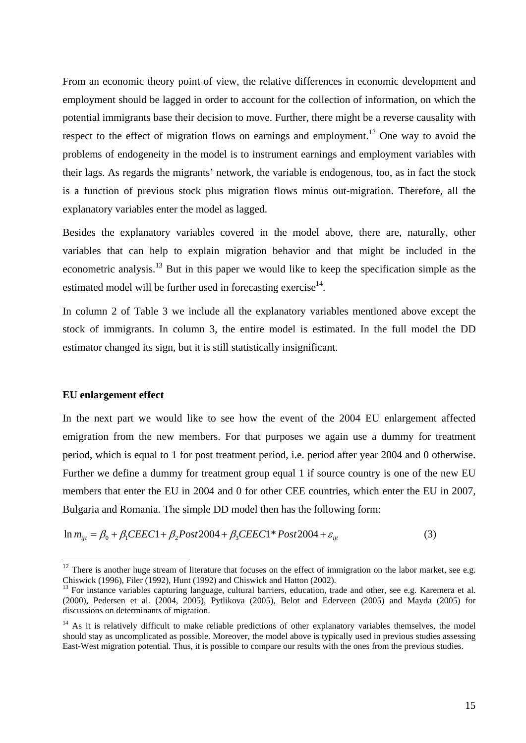From an economic theory point of view, the relative differences in economic development and employment should be lagged in order to account for the collection of information, on which the potential immigrants base their decision to move. Further, there might be a reverse causality with respect to the effect of migration flows on earnings and employment.<sup>12</sup> One way to avoid the problems of endogeneity in the model is to instrument earnings and employment variables with their lags. As regards the migrants' network, the variable is endogenous, too, as in fact the stock is a function of previous stock plus migration flows minus out-migration. Therefore, all the explanatory variables enter the model as lagged.

Besides the explanatory variables covered in the model above, there are, naturally, other variables that can help to explain migration behavior and that might be included in the econometric analysis.<sup>13</sup> But in this paper we would like to keep the specification simple as the estimated model will be further used in forecasting exercise<sup>14</sup>.

In column 2 of Table 3 we include all the explanatory variables mentioned above except the stock of immigrants. In column 3, the entire model is estimated. In the full model the DD estimator changed its sign, but it is still statistically insignificant.

#### **EU enlargement effect**

1

In the next part we would like to see how the event of the 2004 EU enlargement affected emigration from the new members. For that purposes we again use a dummy for treatment period, which is equal to 1 for post treatment period, i.e. period after year 2004 and 0 otherwise. Further we define a dummy for treatment group equal 1 if source country is one of the new EU members that enter the EU in 2004 and 0 for other CEE countries, which enter the EU in 2007, Bulgaria and Romania. The simple DD model then has the following form:

$$
\ln m_{ijt} = \beta_0 + \beta_1 CEEC1 + \beta_2 Post2004 + \beta_3 CEEC1 * Post2004 + \varepsilon_{ijt}
$$
\n(3)

 $12$  There is another huge stream of literature that focuses on the effect of immigration on the labor market, see e.g. Chiswick (1996), Filer (1992), Hunt (1992) and Chiswick and Hatton (2002).

<sup>&</sup>lt;sup>13</sup> For instance variables capturing language, cultural barriers, education, trade and other, see e.g. Karemera et al. (2000), Pedersen et al. (2004, 2005), Pytlikova (2005), Belot and Ederveen (2005) and Mayda (2005) for discussions on determinants of migration.

 $14$  As it is relatively difficult to make reliable predictions of other explanatory variables themselves, the model should stay as uncomplicated as possible. Moreover, the model above is typically used in previous studies assessing East-West migration potential. Thus, it is possible to compare our results with the ones from the previous studies.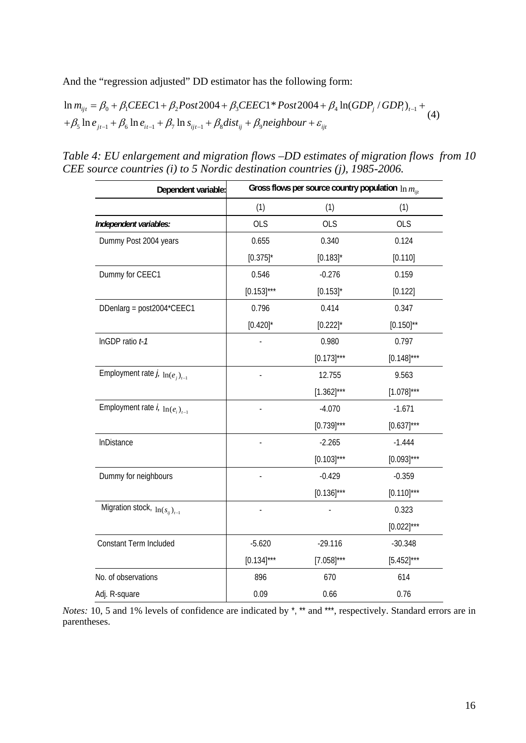And the "regression adjusted" DD estimator has the following form:

$$
\ln m_{ijt} = \beta_0 + \beta_1 CEEC1 + \beta_2 Post2004 + \beta_3 CEEC1 * Post2004 + \beta_4 \ln(GDP_j / GDP_i)_{t-1} + + \beta_5 \ln e_{jt-1} + \beta_6 \ln e_{it-1} + \beta_7 \ln s_{ijt-1} + \beta_8 dist_{ij} + \beta_9 neighbour + \varepsilon_{ijt}
$$
\n(4)

*Table 4: EU enlargement and migration flows –DD estimates of migration flows from 10 CEE source countries (i) to 5 Nordic destination countries (j), 1985-2006.* 

| Dependent variable:                         | Gross flows per source country population $\ln m_{\text{int}}$ |                 |                 |  |  |
|---------------------------------------------|----------------------------------------------------------------|-----------------|-----------------|--|--|
|                                             | (1)                                                            | (1)             | (1)             |  |  |
| Independent variables:                      | <b>OLS</b>                                                     | <b>OLS</b>      | <b>OLS</b>      |  |  |
| Dummy Post 2004 years                       | 0.655                                                          | 0.340           | 0.124           |  |  |
|                                             | $[0.375]$ *                                                    | $[0.183]$ *     | [0.110]         |  |  |
| Dummy for CEEC1                             | 0.546                                                          | $-0.276$        | 0.159           |  |  |
|                                             | $[0.153]$ ***                                                  | $[0.153]$ *     | [0.122]         |  |  |
| DDenlarg = post2004*CEEC1                   | 0.796                                                          | 0.414           | 0.347           |  |  |
|                                             | $[0.420]$ *                                                    | $[0.222]$ *     | $[0.150]^{**}$  |  |  |
| InGDP ratio t-1                             |                                                                | 0.980           | 0.797           |  |  |
|                                             |                                                                | $[0.173]$ ***   | $[0.148]$ ***   |  |  |
| Employment rate $j_{\ell}$ $\ln(e_i)_{i=1}$ |                                                                | 12.755          | 9.563           |  |  |
|                                             |                                                                | $[1.362]^{***}$ | $[1.078]^{***}$ |  |  |
| Employment rate $i$ , $\ln(e_i)_{i=1}$      |                                                                | $-4.070$        | $-1.671$        |  |  |
|                                             |                                                                | $[0.739]^{***}$ | $[0.637]$ ***   |  |  |
| InDistance                                  |                                                                | $-2.265$        | $-1.444$        |  |  |
|                                             |                                                                | $[0.103]^{***}$ | $[0.093]$ ***   |  |  |
| Dummy for neighbours                        |                                                                | $-0.429$        | $-0.359$        |  |  |
|                                             |                                                                | $[0.136]^{***}$ | $[0.110]^{***}$ |  |  |
| Migration stock, $\ln(s_{ij})_{i=1}$        |                                                                |                 | 0.323           |  |  |
|                                             |                                                                |                 | $[0.022]$ ***   |  |  |
| Constant Term Included                      | $-5.620$                                                       | $-29.116$       | $-30.348$       |  |  |
|                                             | $[0.134]$ ***                                                  | $[7.058]^{***}$ | $[5.452]$ ***   |  |  |
| No. of observations                         | 896                                                            | 670             | 614             |  |  |
| Adj. R-square                               | 0.09                                                           | 0.66            | 0.76            |  |  |

*Notes:* 10, 5 and 1% levels of confidence are indicated by  $\kappa$ ,  $\kappa$  and  $\kappa$ , respectively. Standard errors are in parentheses.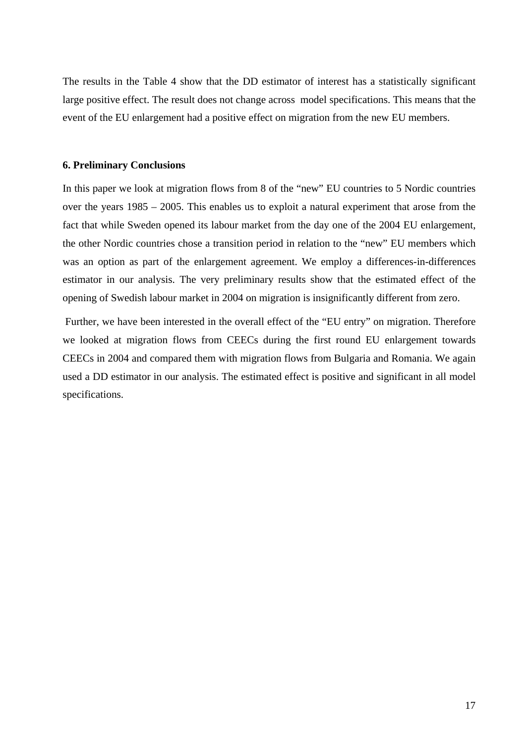The results in the Table 4 show that the DD estimator of interest has a statistically significant large positive effect. The result does not change across model specifications. This means that the event of the EU enlargement had a positive effect on migration from the new EU members.

## **6. Preliminary Conclusions**

In this paper we look at migration flows from 8 of the "new" EU countries to 5 Nordic countries over the years 1985 – 2005. This enables us to exploit a natural experiment that arose from the fact that while Sweden opened its labour market from the day one of the 2004 EU enlargement, the other Nordic countries chose a transition period in relation to the "new" EU members which was an option as part of the enlargement agreement. We employ a differences-in-differences estimator in our analysis. The very preliminary results show that the estimated effect of the opening of Swedish labour market in 2004 on migration is insignificantly different from zero.

 Further, we have been interested in the overall effect of the "EU entry" on migration. Therefore we looked at migration flows from CEECs during the first round EU enlargement towards CEECs in 2004 and compared them with migration flows from Bulgaria and Romania. We again used a DD estimator in our analysis. The estimated effect is positive and significant in all model specifications.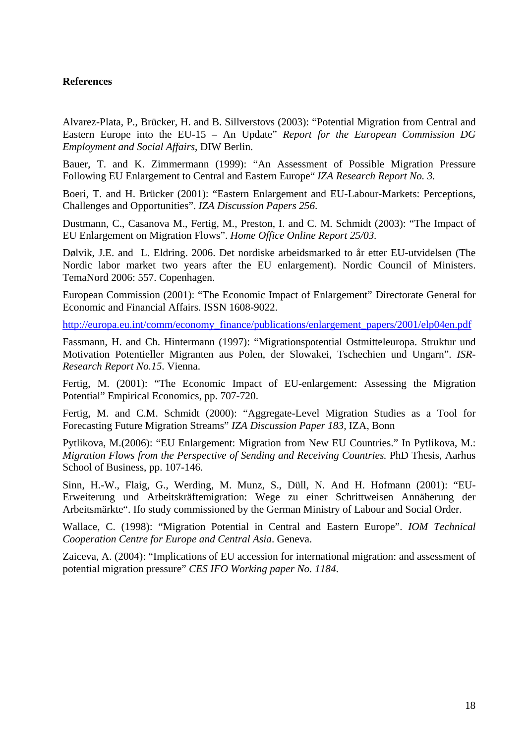# **References**

Alvarez-Plata, P., Brücker, H. and B. Sillverstovs (2003): "Potential Migration from Central and Eastern Europe into the EU-15 – An Update" *Report for the European Commission DG Employment and Social Affairs*, DIW Berlin.

Bauer, T. and K. Zimmermann (1999): "An Assessment of Possible Migration Pressure Following EU Enlargement to Central and Eastern Europe" *IZA Research Report No. 3.* 

Boeri, T. and H. Brücker (2001): "Eastern Enlargement and EU-Labour-Markets: Perceptions, Challenges and Opportunities". *IZA Discussion Papers 256*.

Dustmann, C., Casanova M., Fertig, M., Preston, I. and C. M. Schmidt (2003): "The Impact of EU Enlargement on Migration Flows". *Home Office Online Report 25/03.* 

Dølvik, J.E. and L. Eldring. 2006. Det nordiske arbeidsmarked to år etter EU-utvidelsen (The Nordic labor market two years after the EU enlargement). Nordic Council of Ministers. TemaNord 2006: 557. Copenhagen.

European Commission (2001): "The Economic Impact of Enlargement" Directorate General for Economic and Financial Affairs. ISSN 1608-9022.

http://europa.eu.int/comm/economy\_finance/publications/enlargement\_papers/2001/elp04en.pdf

Fassmann, H. and Ch. Hintermann (1997): "Migrationspotential Ostmitteleuropa. Struktur und Motivation Potentieller Migranten aus Polen, der Slowakei, Tschechien und Ungarn". *ISR-Research Report No.15*. Vienna.

Fertig, M. (2001): "The Economic Impact of EU-enlargement: Assessing the Migration Potential" Empirical Economics, pp. 707-720.

Fertig, M. and C.M. Schmidt (2000): "Aggregate-Level Migration Studies as a Tool for Forecasting Future Migration Streams" *IZA Discussion Paper 183,* IZA, Bonn

Pytlikova, M.(2006): "EU Enlargement: Migration from New EU Countries." In Pytlikova, M.: *Migration Flows from the Perspective of Sending and Receiving Countries.* PhD Thesis, Aarhus School of Business, pp. 107-146.

Sinn, H.-W., Flaig, G., Werding, M. Munz, S., Düll, N. And H. Hofmann (2001): "EU-Erweiterung und Arbeitskräftemigration: Wege zu einer Schrittweisen Annäherung der Arbeitsmärkte". Ifo study commissioned by the German Ministry of Labour and Social Order.

Wallace, C. (1998): "Migration Potential in Central and Eastern Europe". *IOM Technical Cooperation Centre for Europe and Central Asia*. Geneva.

Zaiceva, A. (2004): "Implications of EU accession for international migration: and assessment of potential migration pressure" *CES IFO Working paper No. 1184*.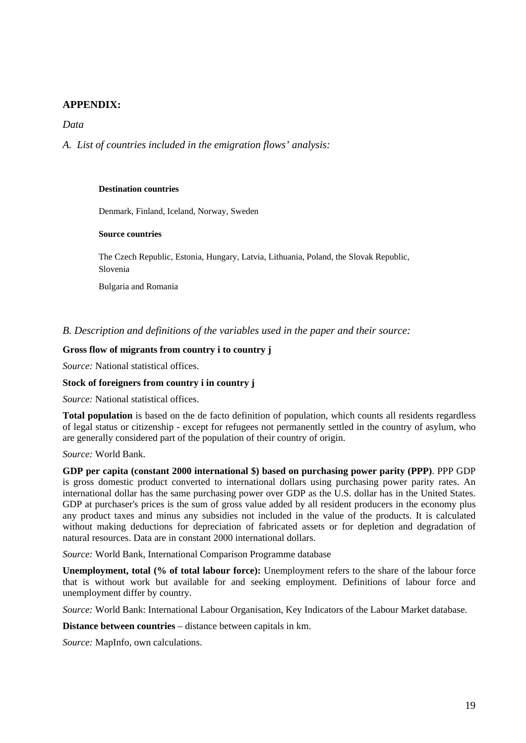# **APPENDIX:**

## *Data*

*A. List of countries included in the emigration flows' analysis:* 

#### **Destination countries**

Denmark, Finland, Iceland, Norway, Sweden

#### **Source countries**

The Czech Republic, Estonia, Hungary, Latvia, Lithuania, Poland, the Slovak Republic, Slovenia

Bulgaria and Romania

*B. Description and definitions of the variables used in the paper and their source:* 

#### **Gross flow of migrants from country i to country j**

*Source:* National statistical offices.

#### **Stock of foreigners from country i in country j**

*Source:* National statistical offices.

**Total population** is based on the de facto definition of population, which counts all residents regardless of legal status or citizenship - except for refugees not permanently settled in the country of asylum, who are generally considered part of the population of their country of origin.

#### *Source:* World Bank.

**GDP per capita (constant 2000 international \$) based on purchasing power parity (PPP)**. PPP GDP is gross domestic product converted to international dollars using purchasing power parity rates. An international dollar has the same purchasing power over GDP as the U.S. dollar has in the United States. GDP at purchaser's prices is the sum of gross value added by all resident producers in the economy plus any product taxes and minus any subsidies not included in the value of the products. It is calculated without making deductions for depreciation of fabricated assets or for depletion and degradation of natural resources. Data are in constant 2000 international dollars.

*Source:* World Bank, International Comparison Programme database

**Unemployment, total (% of total labour force):** Unemployment refers to the share of the labour force that is without work but available for and seeking employment. Definitions of labour force and unemployment differ by country.

*Source:* World Bank: International Labour Organisation, Key Indicators of the Labour Market database.

**Distance between countries** – distance between capitals in km.

*Source:* MapInfo, own calculations.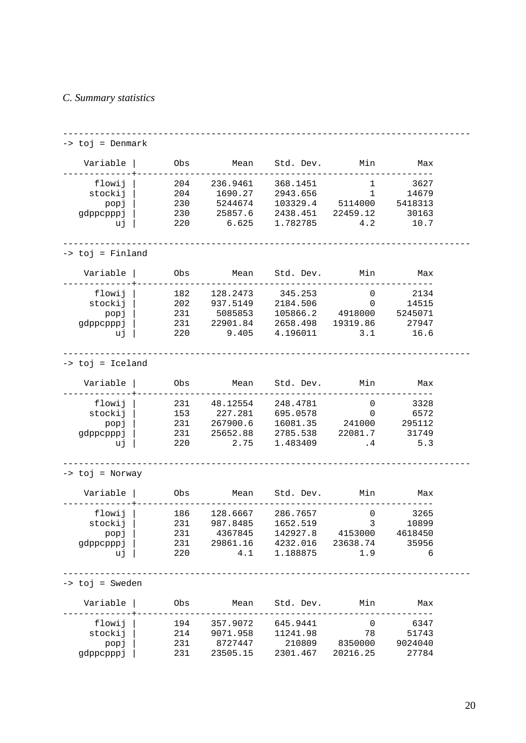## *C. Summary statistics*

```
----------------------------------------------------------------------------- 
-> toj = Denmark 
  Variable | Obs Mean Std. Dev. Min Max
-------------+-------------------------------------------------------- 
 flowij | 204 236.9461 368.1451 1 3627 
 stockij | 204 1690.27 2943.656 1 14679 
 popj | 230 5244674 103329.4 5114000 5418313 
 gdppcpppj | 230 25857.6 2438.451 22459.12 30163 
 uj | 220 6.625 1.782785 4.2 10.7 
----------------------------------------------------------------------------- 
-> toj = Finland 
  Variable | Obs Mean Std. Dev. Min Max
-------------+-------------------------------------------------------- 
 flowij | 182 128.2473 345.253 0 2134 
 stockij | 202 937.5149 2184.506 0 14515 
 popj | 231 5085853 105866.2 4918000 5245071 
 gdppcpppj | 231 22901.84 2658.498 19319.86 27947 
 uj | 220 9.405 4.196011 3.1 16.6 
----------------------------------------------------------------------------- 
-> toj = Iceland 
   Variable | Obs Mean Std. Dev. Min Max 
-------------+-------------------------------------------------------- 
 flowij | 231 48.12554 248.4781 0 3328 
 stockij | 153 227.281 695.0578 0 6572 
 popj | 231 267900.6 16081.35 241000 295112 
   gdppcpppj | 231 25652.88 2785.538 22081.7 31749 
       uj | 220 2.75 1.483409 .4 5.3 
  ----------------------------------------------------------------------------- 
-> toj = Norway 
  Variable | Obs Mean Std. Dev. Min Max
-------------+-------------------------------------------------------- 
 flowij | 186 128.6667 286.7657 0 3265 
 stockij | 231 987.8485 1652.519 3 10899 
 popj | 231 4367845 142927.8 4153000 4618450 
 gdppcpppj | 231 29861.16 4232.016 23638.74 35956 
 uj | 220 4.1 1.188875 1.9 6 
 ----------------------------------------------------------------------------- 
-> toj = Sweden 
  Variable | Obs Mean Std. Dev. Min Max
-------------+-------------------------------------------------------- 
 flowij | 194 357.9072 645.9441 0 6347 
 stockij | 214 9071.958 11241.98 78 51743 
 popj | 231 8727447 210809 8350000 9024040 
 gdppcpppj | 231 23505.15 2301.467 20216.25 27784
```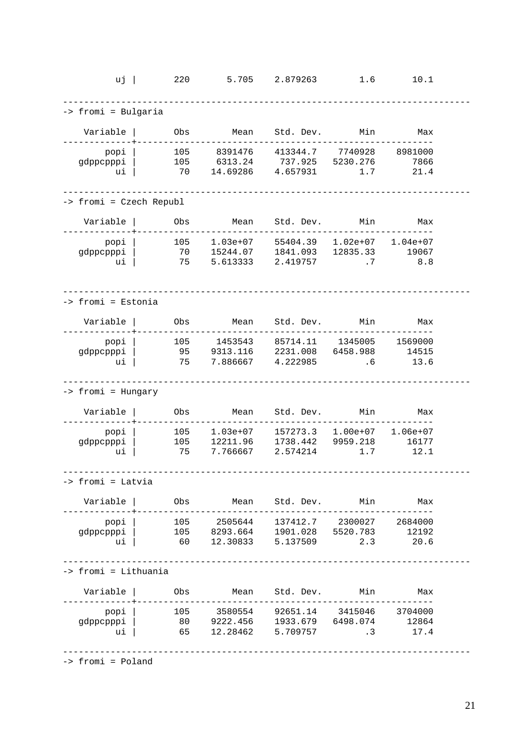| $uj$                      | 220              | 5.705                                                                                                         | 2.879263                                 | 1.6                                          | 10.1                        |  |
|---------------------------|------------------|---------------------------------------------------------------------------------------------------------------|------------------------------------------|----------------------------------------------|-----------------------------|--|
| -> fromi = Bulgaria       |                  |                                                                                                               |                                          |                                              |                             |  |
| Variable                  | Obs              | Mean                                                                                                          | Std. Dev.                                | Min                                          | Max                         |  |
| popi<br>gdppcpppi<br>ui   | 105<br>105<br>70 | 8391476<br>6313.24<br>14.69286                                                                                | 413344.7<br>737.925 5230.276<br>4.657931 | 7740928<br>1.7                               | 8981000<br>7866<br>21.4     |  |
| -> fromi = Czech Republ   |                  |                                                                                                               |                                          |                                              |                             |  |
| Variable                  | Obs              | Mean                                                                                                          | Std. Dev. Min                            |                                              | Max                         |  |
| popi<br>gdppcpppi<br>ui   | 105<br>70<br>75  | 1.03e+07<br>15244.07<br>5.613333                                                                              | 1841.093 12835.33<br>2.419757            | 55404.39  1.02e+07  1.04e+07<br>$\cdot$ 7    | 19067<br>8.8                |  |
| -> fromi = Estonia        |                  |                                                                                                               |                                          |                                              |                             |  |
| Variable                  | Obs              | Mean                                                                                                          | Std. Dev. Min                            |                                              | Max                         |  |
| popi<br>gdppcpppi<br>ui   | 105<br>95<br>75  | 1453543<br>9313.116<br>7.886667                                                                               | 2231.008<br>4.222985                     | 85714.11  1345005  1569000<br>6458.988<br>.6 | 14515<br>13.6               |  |
| -> fromi = Hungary        |                  |                                                                                                               |                                          |                                              |                             |  |
| Variable                  | Obs              | Mean                                                                                                          | Std. Dev.                                | Min                                          | Max                         |  |
| popi<br>gdppcpppi<br>ui   | 105<br>105<br>75 | 1.03e+07<br>12211.96<br>7.766667                                                                              | 1738.442<br>2.574214                     | 157273.3   1.00e+07<br>9959.218<br>1.7       | $1.06e+07$<br>16177<br>12.1 |  |
| -> fromi = Latvia         |                  |                                                                                                               |                                          |                                              |                             |  |
| Variable                  |                  | Obs Mean Std. Dev. Min Max                                                                                    |                                          |                                              |                             |  |
| popi<br>gdppcpppi<br>ui   |                  | 105 2505644 137412.7 2300027 2684000<br>105 8293.664 1901.028 5520.783 12192<br>60 12.30833 5.137509 2.3 20.6 |                                          |                                              |                             |  |
| -> fromi = Lithuania      |                  |                                                                                                               |                                          |                                              |                             |  |
| Variable                  |                  | Obs Mean Std. Dev. Min Max                                                                                    |                                          |                                              |                             |  |
| popi  <br>gdppcpppi<br>ui |                  | 105 3580554 92651.14 3415046 3704000<br>80 9222.456 1933.679 6498.074 12864<br>65 12.28462 5.709757 .3 17.4   |                                          |                                              |                             |  |

-> fromi = Poland